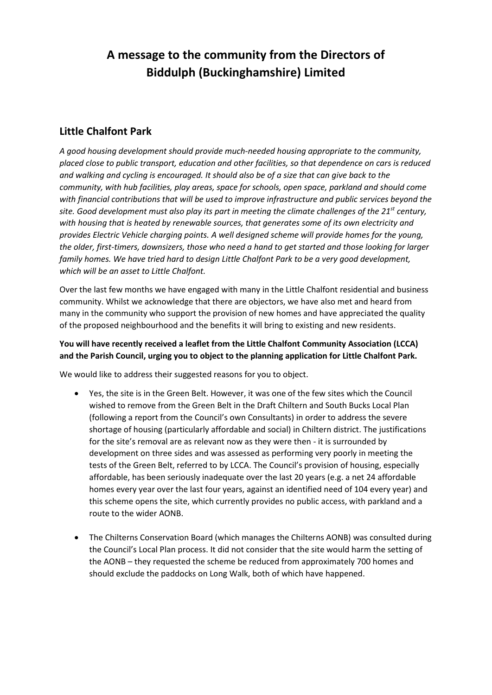## **A message to the community from the Directors of Biddulph (Buckinghamshire) Limited**

## **Little Chalfont Park**

*A good housing development should provide much-needed housing appropriate to the community, placed close to public transport, education and other facilities, so that dependence on cars is reduced and walking and cycling is encouraged. It should also be of a size that can give back to the community, with hub facilities, play areas, space for schools, open space, parkland and should come with financial contributions that will be used to improve infrastructure and public services beyond the site. Good development must also play its part in meeting the climate challenges of the 21st century, with housing that is heated by renewable sources, that generates some of its own electricity and provides Electric Vehicle charging points. A well designed scheme will provide homes for the young, the older, first-timers, downsizers, those who need a hand to get started and those looking for larger family homes. We have tried hard to design Little Chalfont Park to be a very good development, which will be an asset to Little Chalfont.*

Over the last few months we have engaged with many in the Little Chalfont residential and business community. Whilst we acknowledge that there are objectors, we have also met and heard from many in the community who support the provision of new homes and have appreciated the quality of the proposed neighbourhood and the benefits it will bring to existing and new residents.

## **You will have recently received a leaflet from the Little Chalfont Community Association (LCCA) and the Parish Council, urging you to object to the planning application for Little Chalfont Park.**

We would like to address their suggested reasons for you to object.

- Yes, the site is in the Green Belt. However, it was one of the few sites which the Council wished to remove from the Green Belt in the Draft Chiltern and South Bucks Local Plan (following a report from the Council's own Consultants) in order to address the severe shortage of housing (particularly affordable and social) in Chiltern district. The justifications for the site's removal are as relevant now as they were then - it is surrounded by development on three sides and was assessed as performing very poorly in meeting the tests of the Green Belt, referred to by LCCA. The Council's provision of housing, especially affordable, has been seriously inadequate over the last 20 years (e.g. a net 24 affordable homes every year over the last four years, against an identified need of 104 every year) and this scheme opens the site, which currently provides no public access, with parkland and a route to the wider AONB.
- The Chilterns Conservation Board (which manages the Chilterns AONB) was consulted during the Council's Local Plan process. It did not consider that the site would harm the setting of the AONB – they requested the scheme be reduced from approximately 700 homes and should exclude the paddocks on Long Walk, both of which have happened.